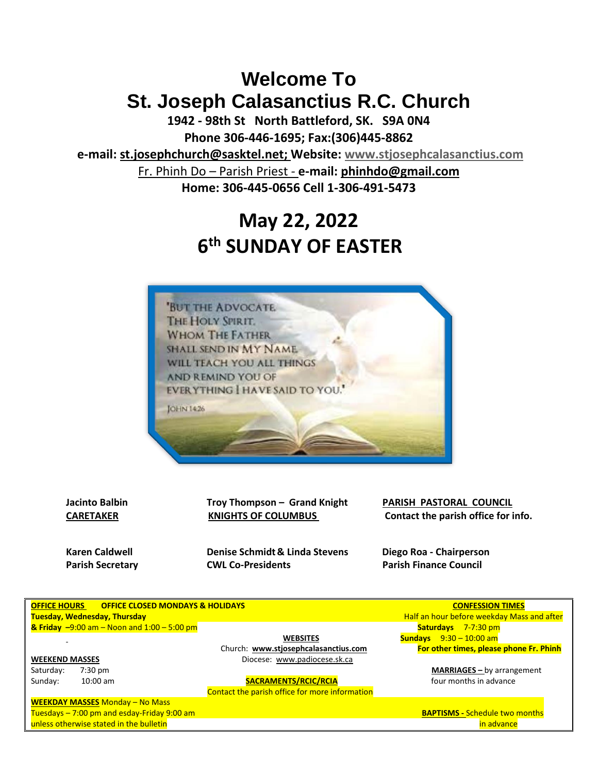## **Welcome To St. Joseph Calasanctius R.C. Church**

**1942 - 98th St North Battleford, SK. S9A 0N4 Phone 306-446-1695; Fax:(306)445-8862**

**e-mail: [st.josephchurch@sasktel.net;](mailto:st.josephchurch@sasktel.net) Website: [www.stjosephcalasanctius.com](http://www.stjosephcalasanctius.com/)** Fr. Phinh Do – Parish Priest *-* **e-mail: [phinhdo@gmail.com](mailto:phinhdo@gmail.com)**

**Home: 306-445-0656 Cell 1-306-491-5473** 

# **May 22, 2022 6 th SUNDAY OF EASTER**



**Jacinto Balbin Troy Thompson – Grand Knight PARISH PASTORAL COUNCIL** 

**Karen Caldwell Denise Schmidt& Linda Stevens Diego Roa - Chairperson Parish Secretary <b>CWL Co-Presidents Parish Finance Council** 

**CARETAKER KNIGHTS OF COLUMBUS Contact the parish office for info.**

| <b>OFFICE HOURS</b><br><b>OFFICE CLOSED MONDAYS &amp; HOLIDAYS</b> |                                                              |                                                                                                   |  |  |  |  |  |
|--------------------------------------------------------------------|--------------------------------------------------------------|---------------------------------------------------------------------------------------------------|--|--|--|--|--|
|                                                                    | <b>Tuesday, Wednesday, Thursday</b>                          |                                                                                                   |  |  |  |  |  |
|                                                                    | <b>&amp; Friday</b> $-9:00$ am $-$ Noon and $1:00 - 5:00$ pm |                                                                                                   |  |  |  |  |  |
|                                                                    |                                                              | <b>WEBSITES</b>                                                                                   |  |  |  |  |  |
|                                                                    |                                                              | Church: www.stjosephcalasanctius.o                                                                |  |  |  |  |  |
| <b>WEEKEND MASSES</b>                                              |                                                              | Diocese: www.padiocese.sk.ca                                                                      |  |  |  |  |  |
| Saturday:                                                          | $7:30$ pm                                                    |                                                                                                   |  |  |  |  |  |
| Sunday:                                                            | $10:00$ am                                                   | <b>SACRAMENTS/RCIC/RCIA</b>                                                                       |  |  |  |  |  |
|                                                                    |                                                              | $C_{\rm{c}}$ who shall a search is a $CC_{\rm{c}}$ , $C_{\rm{c}}$ is a search in $C_{\rm{c}}$ and |  |  |  |  |  |

Contact the parish office for more information

**WEEKDAY MASSES** Monday – No Mass Tuesdays – 7:00 pm and esday-Friday 9:00 am unless otherwise stated in the bulletin in advance in a determination in a determination in advance in advance

**CONFESSION TIMES Half an hour before weekday Mass and after Saturdays** 7-7:30 pm  **WEBSITES Sundays** 9:30 – 10:00 am

Church: **[www.stjosephcalasanctius.com](http://www.stjosephcalasanctius.com/) For other times, please phone Fr. Phinh**

MARRIAGES - by arrangement four months in advance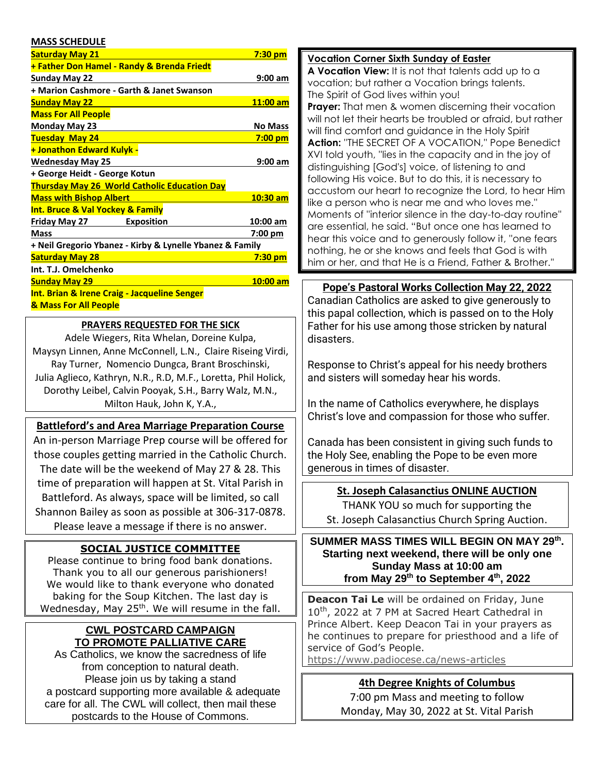#### **MASS SCHEDULE**

| <b>Saturday May 21</b>                                   | $7:30$ pm         |  |  |  |  |  |  |
|----------------------------------------------------------|-------------------|--|--|--|--|--|--|
| <b>+ Father Don Hamel - Randy &amp; Brenda Friedt</b>    |                   |  |  |  |  |  |  |
| Sunday May 22                                            | 9:00 am           |  |  |  |  |  |  |
| + Marion Cashmore - Garth & Janet Swanson                |                   |  |  |  |  |  |  |
| <b>Sunday May 22</b>                                     | 11:00 am          |  |  |  |  |  |  |
| <b>Mass For All People</b>                               |                   |  |  |  |  |  |  |
| Monday May 23                                            | <b>No Mass</b>    |  |  |  |  |  |  |
| <b>Tuesday May 24</b>                                    | $7:00$ pm         |  |  |  |  |  |  |
| <b>+ Jonathon Edward Kulyk -</b>                         |                   |  |  |  |  |  |  |
| <b>Wednesday May 25</b>                                  | 9:00 am           |  |  |  |  |  |  |
| + George Heidt - George Kotun                            |                   |  |  |  |  |  |  |
| <b>Thursday May 26 World Catholic Education Day</b>      |                   |  |  |  |  |  |  |
| <b>Mass with Bishop Albert</b>                           | $10:30$ am        |  |  |  |  |  |  |
| <b>Int. Bruce &amp; Val Yockey &amp; Family</b>          |                   |  |  |  |  |  |  |
| Friday May 27<br><b>Exposition</b>                       | 10:00 am          |  |  |  |  |  |  |
| <b>Mass</b>                                              | $7:00 \text{ pm}$ |  |  |  |  |  |  |
| + Neil Gregorio Ybanez - Kirby & Lynelle Ybanez & Family |                   |  |  |  |  |  |  |
| <b>Saturday May 28</b>                                   | 7:30 pm           |  |  |  |  |  |  |
| Int. T.J. Omelchenko                                     |                   |  |  |  |  |  |  |
| <b>Sunday May 29</b>                                     | $10:00$ am        |  |  |  |  |  |  |
| <b>Int. Brian &amp; Irene Craig - Jacqueline Senger</b>  |                   |  |  |  |  |  |  |
| <b>&amp; Mass For All People</b>                         |                   |  |  |  |  |  |  |
|                                                          |                   |  |  |  |  |  |  |

#### **PRAYERS REQUESTED FOR THE SICK**

Adele Wiegers, Rita Whelan, Doreine Kulpa, Maysyn Linnen, Anne McConnell, L.N., Claire Riseing Virdi, Ray Turner, Nomencio Dungca, Brant Broschinski, Julia Aglieco, Kathryn, N.R., R.D, M.F., Loretta, Phil Holick, Dorothy Leibel, Calvin Pooyak, S.H., Barry Walz, M.N., Milton Hauk, John K, Y.A.,

#### **Battleford's and Area Marriage Preparation Course**

An in-person Marriage Prep course will be offered for those couples getting married in the Catholic Church. The date will be the weekend of May 27 & 28. This time of preparation will happen at St. Vital Parish in Battleford. As always, space will be limited, so call Shannon Bailey as soon as possible at 306-317-0878. Please leave a message if there is no answer.

#### **SOCIAL JUSTICE COMMITTEE**

Please continue to bring food bank donations. Thank you to all our generous parishioners! We would like to thank everyone who donated baking for the Soup Kitchen. The last day is Wednesday, May 25<sup>th</sup>. We will resume in the fall.

#### **CWL POSTCARD CAMPAIGN TO PROMOTE PALLIATIVE CARE**

As Catholics, we know the sacredness of life from conception to natural death. Please join us by taking a stand a postcard supporting more available & adequate care for all. The CWL will collect, then mail these postcards to the House of Commons.

#### **Vocation Corner Sixth Sunday of Easter**

**A Vocation View:** It is not that talents add up to a vocation; but rather a Vocation brings talents. The Spirit of God lives within you!

**Prayer:** That men & women discerning their vocation will not let their hearts be troubled or afraid, but rather will find comfort and guidance in the Holy Spirit **Action:** ''THE SECRET OF A VOCATION,'' Pope Benedict XVI told youth, ''lies in the capacity and in the joy of distinguishing [God's] voice, of listening to and following His voice. But to do this, it is necessary to accustom our heart to recognize the Lord, to hear Him like a person who is near me and who loves me.'' Moments of ''interior silence in the day-to-day routine'' are essential, he said. "But once one has learned to hear this voice and to generously follow it, ''one fears nothing, he or she knows and feels that God is with him or her, and that He is a Friend, Father & Brother.''

#### **Pope's Pastoral Works Collection May 22, 2022**

Canadian Catholics are asked to give generously to this papal collection, which is passed on to the Holy Father for his use among those stricken by natural disasters.

Response to Christ's appeal for his needy brothers and sisters will someday hear his words.

In the name of Catholics everywhere, he displays Christ's love and compassion for those who suffer.

Canada has been consistent in giving such funds to the Holy See, enabling the Pope to be even more generous in times of disaster.

#### **St. Joseph Calasanctius ONLINE AUCTION**  THANK YOU so much for supporting the

St. Joseph Calasanctius Church Spring Auction.

**SUMMER MASS TIMES WILL BEGIN ON MAY 29th . Starting next weekend, there will be only one Sunday Mass at 10:00 am from May 29th to September 4th, 2022**

**Deacon Tai Le** will be ordained on Friday, June 10<sup>th</sup>, 2022 at 7 PM at Sacred Heart Cathedral in Prince Albert. Keep Deacon Tai in your prayers as he continues to prepare for priesthood and a life of service of God's People.

[https://www.padiocese.ca/news-articles](https://padiocese.us7.list-manage.com/track/click?u=8dcd6923c087977dc01c880a4&id=98f5fd8120&e=327493a030)

#### **4th Degree Knights of Columbus**

7:00 pm Mass and meeting to follow Monday, May 30, 2022 at St. Vital Parish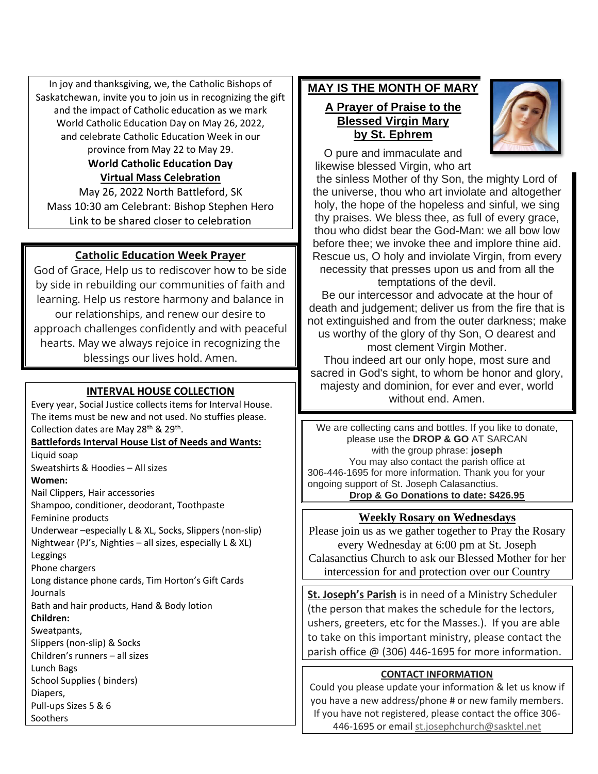In joy and thanksgiving, we, the Catholic Bishops of Saskatchewan, invite you to join us in recognizing the gift and the impact of Catholic education as we mark World Catholic Education Day on May 26, 2022, and celebrate Catholic Education Week in our province from May 22 to May 29.

## **World Catholic Education Day Virtual Mass Celebration**

May 26, 2022 North Battleford, SK Mass 10:30 am Celebrant: Bishop Stephen Hero Link to be shared closer to celebration

## **Catholic Education Week Prayer**

God of Grace, Help us to rediscover how to be side by side in rebuilding our communities of faith and learning. Help us restore harmony and balance in our relationships, and renew our desire to approach challenges confidently and with peaceful hearts. May we always rejoice in recognizing the blessings our lives hold. Amen.

## **INTERVAL HOUSE COLLECTION**

Every year, Social Justice collects items for Interval House. The items must be new and not used. No stuffies please. Collection dates are May 28<sup>th</sup> & 29<sup>th</sup>.

#### **Battlefords Interval House List of Needs and Wants:**

Liquid soap Sweatshirts & Hoodies – All sizes **Women:** Nail Clippers, Hair accessories Shampoo, conditioner, deodorant, Toothpaste Feminine products Underwear –especially L & XL, Socks, Slippers (non-slip) Nightwear (PJ's, Nighties – all sizes, especially L & XL) Leggings Phone chargers Long distance phone cards, Tim Horton's Gift Cards Journals Bath and hair products, Hand & Body lotion **Children:** Sweatpants, Slippers (non-slip) & Socks Children's runners – all sizes Lunch Bags School Supplies ( binders) Diapers, Pull-ups Sizes 5 & 6 **Soothers** 

## **MAY IS THE MONTH OF MARY**

### **A Prayer of Praise to the Blessed Virgin Mary by St. Ephrem**

O pure and immaculate and likewise blessed Virgin, who art

the sinless Mother of thy Son, the mighty Lord of the universe, thou who art inviolate and altogether holy, the hope of the hopeless and sinful, we sing thy praises. We bless thee, as full of every grace, thou who didst bear the God-Man: we all bow low before thee; we invoke thee and implore thine aid. Rescue us, O holy and inviolate Virgin, from every necessity that presses upon us and from all the temptations of the devil.

Be our intercessor and advocate at the hour of death and judgement; deliver us from the fire that is not extinguished and from the outer darkness; make us worthy of the glory of thy Son, O dearest and most clement Virgin Mother.

Thou indeed art our only hope, most sure and sacred in God's sight, to whom be honor and glory, majesty and dominion, for ever and ever, world without end. Amen.

We are collecting cans and bottles. If you like to donate, please use the **DROP & GO** AT SARCAN with the group phrase: **joseph** You may also contact the parish office at 306-446-1695 for more information. Thank you for your ongoing support of St. Joseph Calasanctius. **Drop & Go Donations to date: \$426.95**

## **Weekly Rosary on Wednesdays**

Please join us as we gather together to Pray the Rosary every Wednesday at 6:00 pm at St. Joseph Calasanctius Church to ask our Blessed Mother for her intercession for and protection over our Country

**St. Joseph's Parish** is in need of a Ministry Scheduler (the person that makes the schedule for the lectors, ushers, greeters, etc for the Masses.). If you are able to take on this important ministry, please contact the parish office @ (306) 446-1695 for more information.

## **CONTACT INFORMATION**

Could you please update your information & let us know if you have a new address/phone # or new family members. If you have not registered, please contact the office 306- 446-1695 or email [st.josephchurch@sasktel.net](mailto:st.josephchurch@sasktel.net)

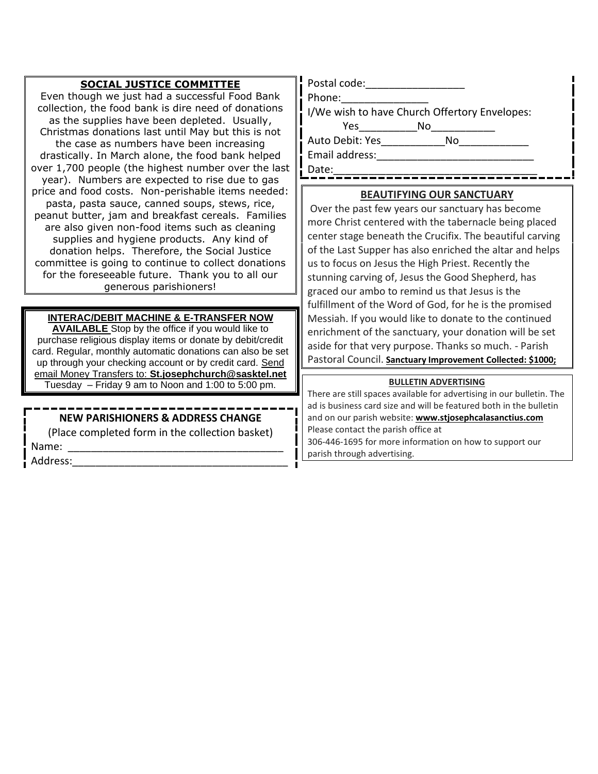| <b>SOCIAL JUSTICE COMMITTEE</b><br>Even though we just had a successful Food Bank<br>collection, the food bank is dire need of donations<br>as the supplies have been depleted. Usually,<br>Christmas donations last until May but this is not<br>the case as numbers have been increasing<br>drastically. In March alone, the food bank helped<br>over 1,700 people (the highest number over the last<br>year). Numbers are expected to rise due to gas<br>price and food costs. Non-perishable items needed:<br>pasta, pasta sauce, canned soups, stews, rice,<br>peanut butter, jam and breakfast cereals. Families<br>are also given non-food items such as cleaning<br>supplies and hygiene products. Any kind of<br>donation helps. Therefore, the Social Justice<br>committee is going to continue to collect donations<br>for the foreseeable future. Thank you to all our<br>generous parishioners! | Postal code: Note that the post of the set of the set of the set of the set of the set of the set of the set o<br>Phone:<br>I/We wish to have Church Offertory Envelopes:<br>Yes___________________No<br>Auto Debit: Yes No<br>Email address: The Management of the Second Second Second Second Second Second Second Second Second Second Second Second Second Second Second Second Second Second Second Second Second Second Second Second Second Second Sec<br>Date:<br><b>BEAUTIFYING OUR SANCTUARY</b><br>Over the past few years our sanctuary has become<br>more Christ centered with the tabernacle being placed<br>center stage beneath the Crucifix. The beautiful carving<br>of the Last Supper has also enriched the altar and helps<br>us to focus on Jesus the High Priest. Recently the<br>stunning carving of, Jesus the Good Shepherd, has<br>graced our ambo to remind us that Jesus is the<br>fulfillment of the Word of God, for he is the promised |  |  |  |
|--------------------------------------------------------------------------------------------------------------------------------------------------------------------------------------------------------------------------------------------------------------------------------------------------------------------------------------------------------------------------------------------------------------------------------------------------------------------------------------------------------------------------------------------------------------------------------------------------------------------------------------------------------------------------------------------------------------------------------------------------------------------------------------------------------------------------------------------------------------------------------------------------------------|------------------------------------------------------------------------------------------------------------------------------------------------------------------------------------------------------------------------------------------------------------------------------------------------------------------------------------------------------------------------------------------------------------------------------------------------------------------------------------------------------------------------------------------------------------------------------------------------------------------------------------------------------------------------------------------------------------------------------------------------------------------------------------------------------------------------------------------------------------------------------------------------------------------------------------------------------------------------|--|--|--|
| <b>INTERAC/DEBIT MACHINE &amp; E-TRANSFER NOW</b><br><b>AVAILABLE</b> Stop by the office if you would like to<br>purchase religious display items or donate by debit/credit<br>card. Regular, monthly automatic donations can also be set<br>up through your checking account or by credit card. Send                                                                                                                                                                                                                                                                                                                                                                                                                                                                                                                                                                                                        | Messiah. If you would like to donate to the continued<br>enrichment of the sanctuary, your donation will be set<br>aside for that very purpose. Thanks so much. - Parish<br>Pastoral Council. Sanctuary Improvement Collected: \$1000;                                                                                                                                                                                                                                                                                                                                                                                                                                                                                                                                                                                                                                                                                                                                 |  |  |  |
| email Money Transfers to: St.josephchurch@sasktel.net<br>Tuesday – Friday 9 am to Noon and 1:00 to 5:00 pm.                                                                                                                                                                                                                                                                                                                                                                                                                                                                                                                                                                                                                                                                                                                                                                                                  | <b>BULLETIN ADVERTISING</b>                                                                                                                                                                                                                                                                                                                                                                                                                                                                                                                                                                                                                                                                                                                                                                                                                                                                                                                                            |  |  |  |

There are still spaces available for advertising in our bulletin. The ad is business card size and will be featured both in the bulletin and on our parish website: **[www.stjosephcalasanctius.com](http://www.stjosephcalasanctius.com/)**

306-446-1695 for more information on how to support our

Please contact the parish office at

parish through advertising.

#### **NEW PARISHIONERS & ADDRESS CHANGE**

(Place completed form in the collection basket) Name:

 $\blacksquare$  Address: